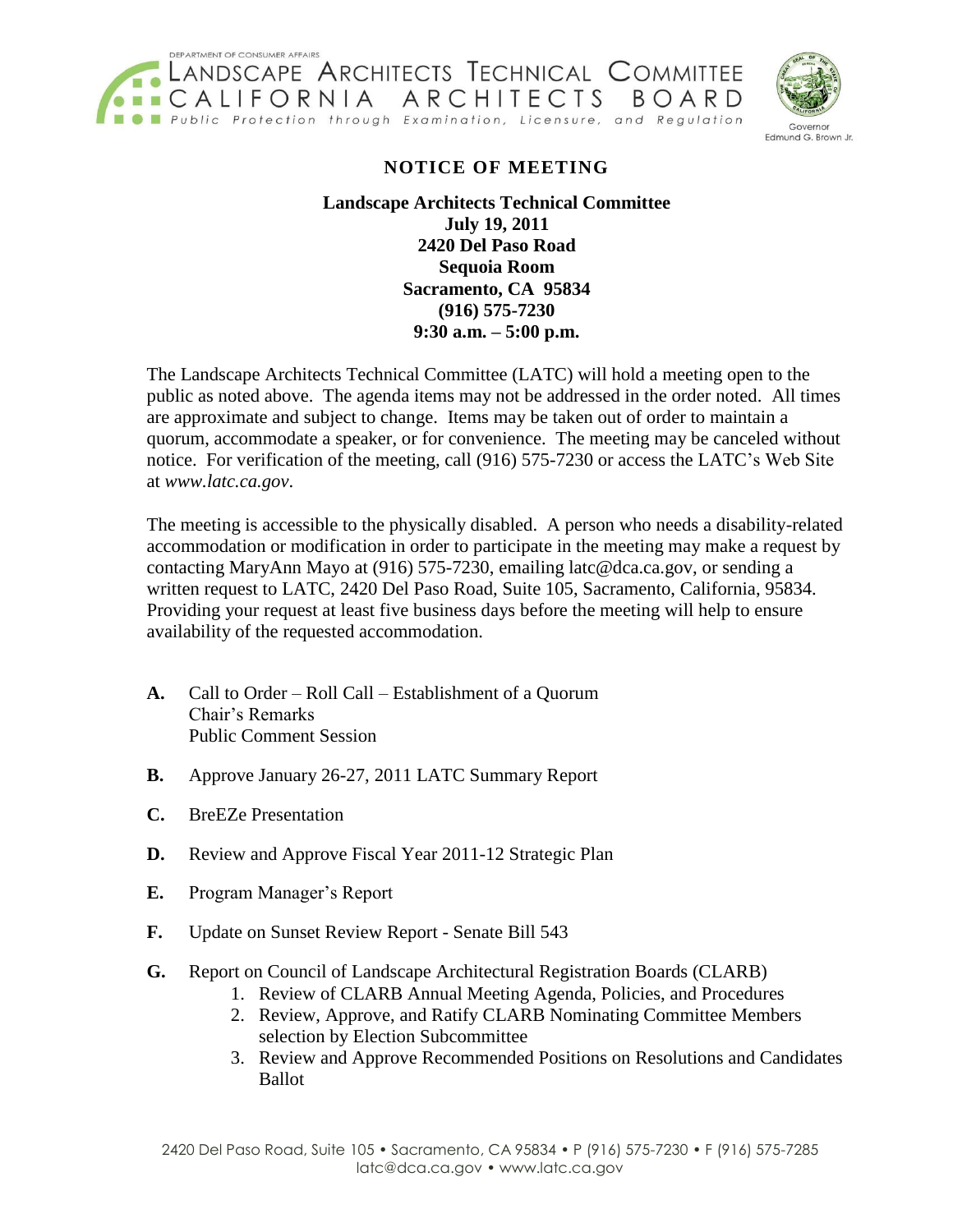



## **NOTICE OF MEETING**

## **Landscape Architects Technical Committee July 19, 2011 2420 Del Paso Road Sequoia Room Sacramento, CA 95834 (916) 575-7230 9:30 a.m. – 5:00 p.m.**

The Landscape Architects Technical Committee (LATC) will hold a meeting open to the public as noted above. The agenda items may not be addressed in the order noted. All times are approximate and subject to change. Items may be taken out of order to maintain a quorum, accommodate a speaker, or for convenience. The meeting may be canceled without notice. For verification of the meeting, call (916) 575-7230 or access the LATC's Web Site at *www.latc.ca.gov*.

The meeting is accessible to the physically disabled. A person who needs a disability-related accommodation or modification in order to participate in the meeting may make a request by contacting MaryAnn Mayo at (916) 575-7230, emailing latc@dca.ca.gov, or sending a written request to LATC, 2420 Del Paso Road, Suite 105, Sacramento, California, 95834. Providing your request at least five business days before the meeting will help to ensure availability of the requested accommodation.

- **A.** Call to Order Roll Call Establishment of a Quorum Chair's Remarks Public Comment Session
- **B.** Approve January 26-27, 2011 LATC Summary Report
- **C.** BreEZe Presentation
- **D.** Review and Approve Fiscal Year 2011-12 Strategic Plan
- **E.** Program Manager's Report
- **F.** Update on Sunset Review Report Senate Bill 543
- **G.** Report on Council of Landscape Architectural Registration Boards (CLARB)
	- 1. Review of CLARB Annual Meeting Agenda, Policies, and Procedures
	- 2. Review, Approve, and Ratify CLARB Nominating Committee Members selection by Election Subcommittee
	- 3. Review and Approve Recommended Positions on Resolutions and Candidates Ballot